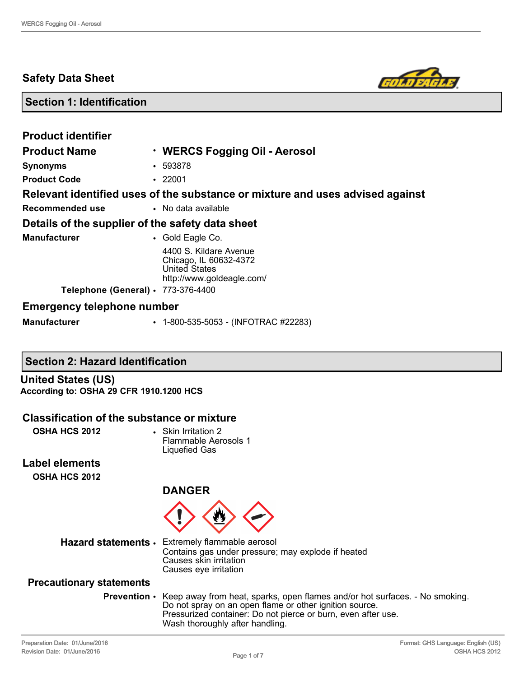# **Safety Data Sheet**



# **Section 1: Identification**

| <b>Product identifier</b>                        |                                                                                                       |
|--------------------------------------------------|-------------------------------------------------------------------------------------------------------|
| <b>Product Name</b>                              | · WERCS Fogging Oil - Aerosol                                                                         |
| <b>Synonyms</b>                                  | $-593878$                                                                                             |
| <b>Product Code</b>                              | $\cdot$ 22001                                                                                         |
|                                                  | Relevant identified uses of the substance or mixture and uses advised against                         |
| Recommended use                                  | • No data available                                                                                   |
| Details of the supplier of the safety data sheet |                                                                                                       |
| <b>Manufacturer</b>                              | • Gold Eagle Co.                                                                                      |
|                                                  | 4400 S. Kildare Avenue<br>Chicago, IL 60632-4372<br><b>United States</b><br>http://www.goldeagle.com/ |
| Telephone (General) · 773-376-4400               |                                                                                                       |
| <b>Emergency telephone number</b>                |                                                                                                       |
| <b>Manufacturer</b>                              | $\cdot$ 1-800-535-5053 - (INFOTRAC #22283)                                                            |

# **Section 2: Hazard Identification**

**United States (US) According to: OSHA 29 CFR 1910.1200 HCS**

## **Classification of the substance or mixture**

**OSHA HCS 2012** • Skin Irritation 2

Flammable Aerosols 1 Liquefied Gas

**Label elements OSHA HCS 2012**

**DANGER**



**Hazard statements** • Extremely flammable aerosol Contains gas under pressure; may explode if heated Causes skin irritation Causes eye irritation

#### **Precautionary statements**

**Prevention** • Keep away from heat, sparks, open flames and/or hot surfaces. - No smoking. Do not spray on an open flame or other ignition source. Pressurized container: Do not pierce or burn, even after use. Wash thoroughly after handling.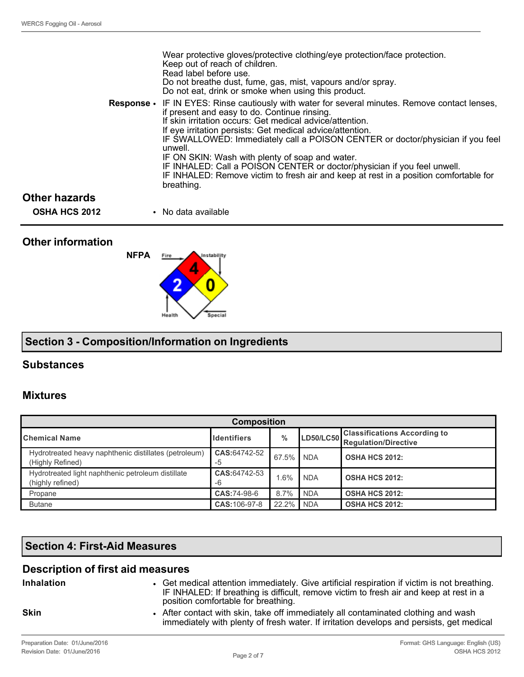|                      | Wear protective gloves/protective clothing/eye protection/face protection.<br>Keep out of reach of children.<br>Read label before use.<br>Do not breathe dust, fume, gas, mist, vapours and/or spray.<br>Do not eat, drink or smoke when using this product.                                                                                                                                                                                                                                                                                                                                                      |
|----------------------|-------------------------------------------------------------------------------------------------------------------------------------------------------------------------------------------------------------------------------------------------------------------------------------------------------------------------------------------------------------------------------------------------------------------------------------------------------------------------------------------------------------------------------------------------------------------------------------------------------------------|
|                      | <b>Response</b> • IF IN EYES: Rinse cautiously with water for several minutes. Remove contact lenses,<br>if present and easy to do. Continue rinsing.<br>If skin irritation occurs: Get medical advice/attention.<br>If eye irritation persists: Get medical advice/attention.<br>IF SWALLOWED: Immediately call a POISON CENTER or doctor/physician if you feel<br>unwell.<br>IF ON SKIN: Wash with plenty of soap and water.<br>IF INHALED: Call a POISON CENTER or doctor/physician if you feel unwell.<br>IF INHALED: Remove victim to fresh air and keep at rest in a position comfortable for<br>breathing. |
| <b>Other hazards</b> |                                                                                                                                                                                                                                                                                                                                                                                                                                                                                                                                                                                                                   |
| <b>OSHA HCS 2012</b> | • No data available                                                                                                                                                                                                                                                                                                                                                                                                                                                                                                                                                                                               |

# **Other information**

# **NFPA** istabiljty Fire

Special

# **Section 3 - Composition/Information on Ingredients**

# **Substances**

# **Mixtures**

| <b>Composition</b>                                                        |                    |        |                  |                                                                    |
|---------------------------------------------------------------------------|--------------------|--------|------------------|--------------------------------------------------------------------|
| <b>Chemical Name</b>                                                      | <b>Identifiers</b> | $\%$   | <b>LD50/LC50</b> | <b>Classifications According to</b><br><b>Regulation/Directive</b> |
| Hydrotreated heavy naphthenic distillates (petroleum)<br>(Highly Refined) | CAS:64742-52<br>-5 | 67.5%  | <b>NDA</b>       | <b>OSHA HCS 2012:</b>                                              |
| Hydrotreated light naphthenic petroleum distillate<br>(highly refined)    | CAS:64742-53<br>-6 | $.6\%$ | <b>NDA</b>       | <b>OSHA HCS 2012:</b>                                              |
| Propane                                                                   | CAS:74-98-6        | 8.7%   | <b>NDA</b>       | <b>OSHA HCS 2012:</b>                                              |
| <b>Butane</b>                                                             | CAS: 106-97-8      | 22.2%  | <b>NDA</b>       | <b>OSHA HCS 2012:</b>                                              |

# **Section 4: First-Aid Measures**

# **Description of first aid measures**

**Inhalation** • Get medical attention immediately. Give artificial respiration if victim is not breathing. IF INHALED: If breathing is difficult, remove victim to fresh air and keep at rest in a position comfortable for breathing.

**Skin** • After contact with skin, take off immediately all contaminated clothing and wash immediately with plenty of fresh water. If irritation develops and persists, get medical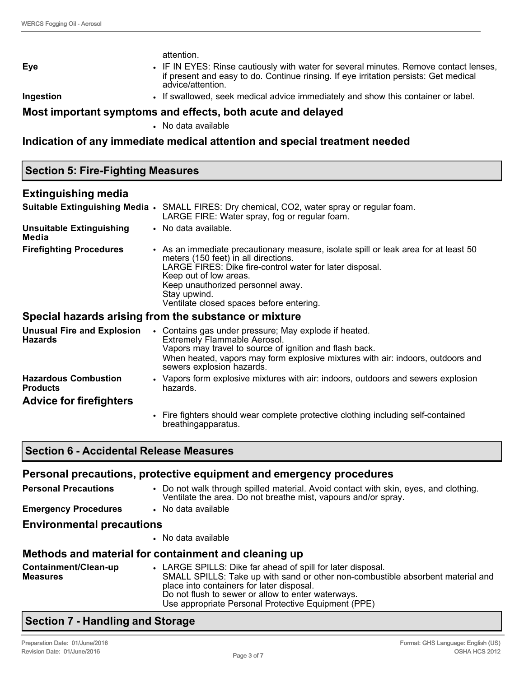| <b>Eye</b><br>Ingestion                             | attention.<br>IF IN EYES: Rinse cautiously with water for several minutes. Remove contact lenses,<br>if present and easy to do. Continue rinsing. If eye irritation persists: Get medical<br>advice/attention.<br>. If swallowed, seek medical advice immediately and show this container or label.                |
|-----------------------------------------------------|--------------------------------------------------------------------------------------------------------------------------------------------------------------------------------------------------------------------------------------------------------------------------------------------------------------------|
|                                                     | Most important symptoms and effects, both acute and delayed<br>• No data available                                                                                                                                                                                                                                 |
|                                                     | Indication of any immediate medical attention and special treatment needed                                                                                                                                                                                                                                         |
| <b>Section 5: Fire-Fighting Measures</b>            |                                                                                                                                                                                                                                                                                                                    |
| <b>Extinguishing media</b>                          |                                                                                                                                                                                                                                                                                                                    |
|                                                     | Suitable Extinguishing Media . SMALL FIRES: Dry chemical, CO2, water spray or regular foam.<br>LARGE FIRE: Water spray, fog or regular foam.                                                                                                                                                                       |
| <b>Unsuitable Extinguishing</b><br>Media            | • No data available.                                                                                                                                                                                                                                                                                               |
| <b>Firefighting Procedures</b>                      | • As an immediate precautionary measure, isolate spill or leak area for at least 50<br>meters (150 feet) in all directions.<br>LARGE FIRES: Dike fire-control water for later disposal.<br>Keep out of low areas.<br>Keep unauthorized personnel away.<br>Stay upwind.<br>Ventilate closed spaces before entering. |
|                                                     | Special hazards arising from the substance or mixture                                                                                                                                                                                                                                                              |
| <b>Unusual Fire and Explosion</b><br><b>Hazards</b> | • Contains gas under pressure; May explode if heated.<br>Extremely Flammable Aerosol.<br>Vapors may travel to source of ignition and flash back.<br>When heated, vapors may form explosive mixtures with air: indoors, outdoors and<br>sewers explosion hazards.                                                   |
| <b>Hazardous Combustion</b><br><b>Products</b>      | • Vapors form explosive mixtures with air: indoors, outdoors and sewers explosion<br>hazards.                                                                                                                                                                                                                      |
| <b>Advice for firefighters</b>                      |                                                                                                                                                                                                                                                                                                                    |
|                                                     | • Fire fighters should wear complete protective clothing including self-contained<br>breathingapparatus.                                                                                                                                                                                                           |

# **Section 6 - Accidental Release Measures**

|                                         | Personal precautions, protective equipment and emergency procedures                                                                                                                                                                                                                                      |
|-----------------------------------------|----------------------------------------------------------------------------------------------------------------------------------------------------------------------------------------------------------------------------------------------------------------------------------------------------------|
| <b>Personal Precautions</b>             | • Do not walk through spilled material. Avoid contact with skin, eyes, and clothing.<br>Ventilate the area. Do not breathe mist, vapours and/or spray.                                                                                                                                                   |
| <b>Emergency Procedures</b>             | • No data available                                                                                                                                                                                                                                                                                      |
| <b>Environmental precautions</b>        |                                                                                                                                                                                                                                                                                                          |
|                                         | • No data available                                                                                                                                                                                                                                                                                      |
|                                         | Methods and material for containment and cleaning up                                                                                                                                                                                                                                                     |
| Containment/Clean-up<br><b>Measures</b> | • LARGE SPILLS: Dike far ahead of spill for later disposal.<br>SMALL SPILLS: Take up with sand or other non-combustible absorbent material and<br>place into containers for later disposal.<br>Do not flush to sewer or allow to enter waterways.<br>Use appropriate Personal Protective Equipment (PPE) |

# **Section 7 - Handling and Storage**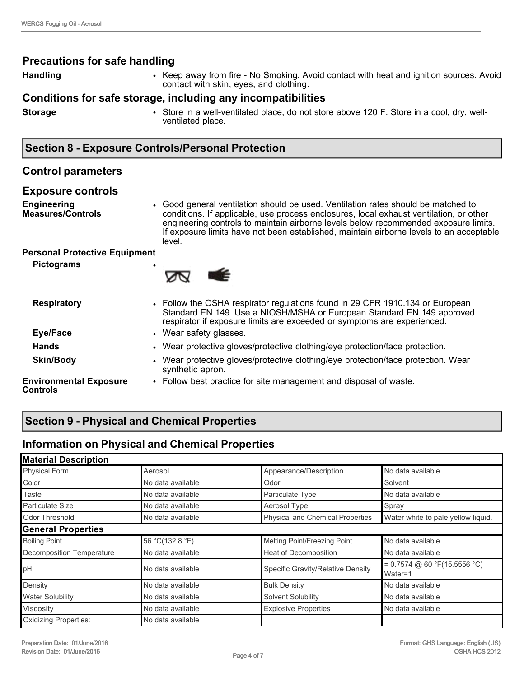# **Precautions for safe handling**

**Handling • Keep away from fire - No Smoking. Avoid contact with heat and ignition sources. Avoid <b>Fig. 2016** contact with skin, eyes, and clothing.

## **Conditions for safe storage, including any incompatibilities**

**Storage** • Store in a well-ventilated place, do not store above 120 F. Store in a cool, dry, wellventilated place.

# **Section 8 - Exposure Controls/Personal Protection**

# **Control parameters**

# **Exposure controls**

**Engineering Measures/Controls** • Good general ventilation should be used. Ventilation rates should be matched to conditions. If applicable, use process enclosures, local exhaust ventilation, or other engineering controls to maintain airborne levels below recommended exposure limits. If exposure limits have not been established, maintain airborne levels to an acceptable level.

## **Personal Protective Equipment**

**Pictograms** •



| <b>Respiratory</b>                        | • Follow the OSHA respirator regulations found in 29 CFR 1910.134 or European<br>Standard EN 149. Use a NIOSH/MSHA or European Standard EN 149 approved<br>respirator if exposure limits are exceeded or symptoms are experienced. |
|-------------------------------------------|------------------------------------------------------------------------------------------------------------------------------------------------------------------------------------------------------------------------------------|
| Eye/Face                                  | • Wear safety glasses.                                                                                                                                                                                                             |
| <b>Hands</b>                              | • Wear protective gloves/protective clothing/eye protection/face protection.                                                                                                                                                       |
| <b>Skin/Body</b>                          | • Wear protective gloves/protective clothing/eye protection/face protection. Wear<br>synthetic apron.                                                                                                                              |
| <b>Environmental Exposure</b><br>Controls | • Follow best practice for site management and disposal of waste.                                                                                                                                                                  |

# **Section 9 - Physical and Chemical Properties**

# **Information on Physical and Chemical Properties**

| <b>Material Description</b> |                   |                                         |                                           |
|-----------------------------|-------------------|-----------------------------------------|-------------------------------------------|
| <b>Physical Form</b>        | Aerosol           | Appearance/Description                  | No data available                         |
| Color                       | No data available | Odor                                    | Solvent                                   |
| Taste                       | No data available | Particulate Type                        | No data available                         |
| Particulate Size            | No data available | Aerosol Type                            | Spray                                     |
| Odor Threshold              | No data available | <b>Physical and Chemical Properties</b> | Water white to pale yellow liquid.        |
| <b>General Properties</b>   |                   |                                         |                                           |
| <b>Boiling Point</b>        | 56 °C(132.8 °F)   | Melting Point/Freezing Point            | No data available                         |
| Decomposition Temperature   | No data available | Heat of Decomposition                   | No data available                         |
| pH                          | No data available | Specific Gravity/Relative Density       | $= 0.7574$ @ 60 °F(15.5556 °C)<br>Water=1 |
| Density                     | No data available | <b>Bulk Density</b>                     | No data available                         |
| <b>Water Solubility</b>     | No data available | Solvent Solubility                      | No data available                         |
| Viscosity                   | No data available | <b>Explosive Properties</b>             | No data available                         |
| Oxidizing Properties:       | No data available |                                         |                                           |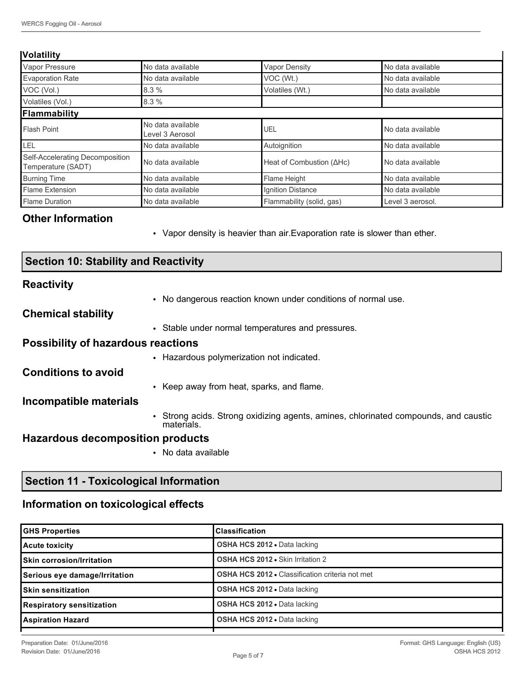#### **Volatility**

| . <i>.</i>                                            |                                      |                                  |                   |
|-------------------------------------------------------|--------------------------------------|----------------------------------|-------------------|
| Vapor Pressure                                        | No data available                    | <b>Vapor Density</b>             | No data available |
| <b>Evaporation Rate</b>                               | No data available                    | VOC (Wt.)                        | No data available |
| VOC (Vol.)                                            | 8.3%                                 | Volatiles (Wt.)                  | No data available |
| Volatiles (Vol.)                                      | 8.3%                                 |                                  |                   |
| Flammability                                          |                                      |                                  |                   |
| Flash Point                                           | No data available<br>Level 3 Aerosol | UEL                              | No data available |
| Ilel                                                  | No data available                    | Autoignition                     | No data available |
| Self-Accelerating Decomposition<br>Temperature (SADT) | No data available                    | Heat of Combustion $(\Delta Hc)$ | No data available |
| <b>Burning Time</b>                                   | No data available                    | Flame Height                     | No data available |
| Flame Extension                                       | No data available                    | Ignition Distance                | No data available |
| Flame Duration                                        | No data available                    | Flammability (solid, gas)        | Level 3 aerosol.  |

# **Other Information**

• Vapor density is heavier than air.Evaporation rate is slower than ether.

| <b>Section 10: Stability and Reactivity</b> |                                                                                                   |  |
|---------------------------------------------|---------------------------------------------------------------------------------------------------|--|
| <b>Reactivity</b>                           |                                                                                                   |  |
|                                             | • No dangerous reaction known under conditions of normal use.                                     |  |
| <b>Chemical stability</b>                   |                                                                                                   |  |
|                                             | • Stable under normal temperatures and pressures.                                                 |  |
| <b>Possibility of hazardous reactions</b>   |                                                                                                   |  |
|                                             | • Hazardous polymerization not indicated.                                                         |  |
| <b>Conditions to avoid</b>                  |                                                                                                   |  |
|                                             | • Keep away from heat, sparks, and flame.                                                         |  |
| Incompatible materials                      |                                                                                                   |  |
|                                             | • Strong acids. Strong oxidizing agents, amines, chlorinated compounds, and caustic<br>materials. |  |
| <b>Hazardous decomposition products</b>     |                                                                                                   |  |
|                                             | No data available<br>$\bullet$                                                                    |  |

# **Section 11 - Toxicological Information**

# **Information on toxicological effects**

| <b>GHS Properties</b>             | <b>Classification</b>                                  |
|-----------------------------------|--------------------------------------------------------|
| Acute toxicity                    | <b>OSHA HCS 2012 • Data lacking</b>                    |
| <b>ISkin corrosion/Irritation</b> | <b>OSHA HCS 2012 • Skin Irritation 2</b>               |
| Serious eye damage/Irritation     | <b>OSHA HCS 2012 • Classification criteria not met</b> |
| <b>ISkin sensitization</b>        | <b>OSHA HCS 2012 • Data lacking</b>                    |
| Respiratory sensitization         | <b>OSHA HCS 2012 • Data lacking</b>                    |
| <b>Aspiration Hazard</b>          | <b>OSHA HCS 2012 - Data lacking</b>                    |
|                                   |                                                        |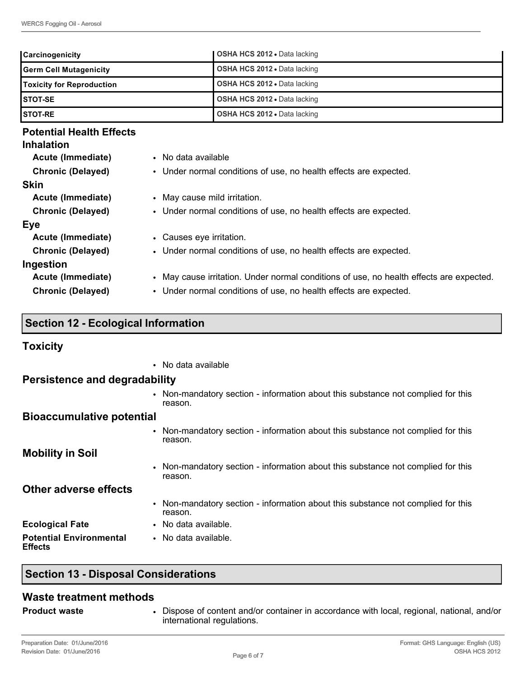| <b>Carcinogenicity</b>           | <b>OSHA HCS 2012 •</b> Data lacking |
|----------------------------------|-------------------------------------|
| <b>Germ Cell Mutagenicity</b>    | <b>OSHA HCS 2012 • Data lacking</b> |
| <b>Toxicity for Reproduction</b> | <b>OSHA HCS 2012 • Data lacking</b> |
| ISTOT-SE                         | <b>OSHA HCS 2012 • Data lacking</b> |
| <b>ISTOT-RE</b>                  | <b>OSHA HCS 2012 - Data lacking</b> |

# **Potential Health Effects**

## **Inhalation**

| Acute (Immediate)        | • No data available                                                                     |
|--------------------------|-----------------------------------------------------------------------------------------|
| <b>Chronic (Delayed)</b> | • Under normal conditions of use, no health effects are expected.                       |
| <b>Skin</b>              |                                                                                         |
| Acute (Immediate)        | • May cause mild irritation.                                                            |
| <b>Chronic (Delayed)</b> | • Under normal conditions of use, no health effects are expected.                       |
| Eye                      |                                                                                         |
| Acute (Immediate)        | • Causes eye irritation.                                                                |
| <b>Chronic (Delayed)</b> | • Under normal conditions of use, no health effects are expected.                       |
| Ingestion                |                                                                                         |
| Acute (Immediate)        | • May cause irritation. Under normal conditions of use, no health effects are expected. |
| <b>Chronic (Delayed)</b> | • Under normal conditions of use, no health effects are expected.                       |

# **Section 12 - Ecological Information**

## **Toxicity**

• No data available

## **Persistence and degradability**

• Non-mandatory section - information about this substance not complied for this reason.

# **Bioaccumulative potential**

• Non-mandatory section - information about this substance not complied for this reason.

**Mobility in Soil**

• Non-mandatory section - information about this substance not complied for this reason.

**Other adverse effects**

- Non-mandatory section information about this substance not complied for this reason.
- **Ecological Fate** No data available.
- **Potential Environmental Effects** • No data available.

# **Section 13 - Disposal Considerations**

## **Waste treatment methods**

- 
- **Product waste** Dispose of content and/or container in accordance with local, regional, national, and/or international regulations.